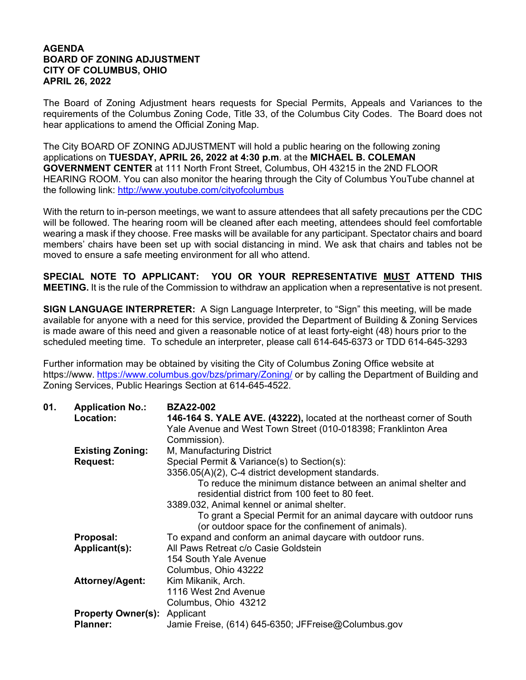## **AGENDA BOARD OF ZONING ADJUSTMENT CITY OF COLUMBUS, OHIO APRIL 26, 2022**

The Board of Zoning Adjustment hears requests for Special Permits, Appeals and Variances to the requirements of the Columbus Zoning Code, Title 33, of the Columbus City Codes. The Board does not hear applications to amend the Official Zoning Map.

The City BOARD OF ZONING ADJUSTMENT will hold a public hearing on the following zoning applications on **TUESDAY, APRIL 26, 2022 at 4:30 p.m**. at the **MICHAEL B. COLEMAN GOVERNMENT CENTER** at 111 North Front Street, Columbus, OH 43215 in the 2ND FLOOR HEARING ROOM. You can also monitor the hearing through the City of Columbus YouTube channel at the following link: http://www.youtube.com/cityofcolumbus

With the return to in-person meetings, we want to assure attendees that all safety precautions per the CDC will be followed. The hearing room will be cleaned after each meeting, attendees should feel comfortable wearing a mask if they choose. Free masks will be available for any participant. Spectator chairs and board members' chairs have been set up with social distancing in mind. We ask that chairs and tables not be moved to ensure a safe meeting environment for all who attend.

**SPECIAL NOTE TO APPLICANT: YOU OR YOUR REPRESENTATIVE MUST ATTEND THIS MEETING.** It is the rule of the Commission to withdraw an application when a representative is not present.

**SIGN LANGUAGE INTERPRETER:** A Sign Language Interpreter, to "Sign" this meeting, will be made available for anyone with a need for this service, provided the Department of Building & Zoning Services is made aware of this need and given a reasonable notice of at least forty-eight (48) hours prior to the scheduled meeting time. To schedule an interpreter, please call 614-645-6373 or TDD 614-645-3293

Further information may be obtained by visiting the City of Columbus Zoning Office website at https://www. https://www.columbus.gov/bzs/primary/Zoning/ or by calling the Department of Building and Zoning Services, Public Hearings Section at 614-645-4522.

| 01. | <b>Application No.:</b>             | <b>BZA22-002</b>                                                       |
|-----|-------------------------------------|------------------------------------------------------------------------|
|     | Location:                           | 146-164 S. YALE AVE. (43222), located at the northeast corner of South |
|     |                                     | Yale Avenue and West Town Street (010-018398; Franklinton Area         |
|     |                                     | Commission).                                                           |
|     | <b>Existing Zoning:</b>             | M, Manufacturing District                                              |
|     | <b>Request:</b>                     | Special Permit & Variance(s) to Section(s):                            |
|     |                                     | 3356.05(A)(2), C-4 district development standards.                     |
|     |                                     | To reduce the minimum distance between an animal shelter and           |
|     |                                     | residential district from 100 feet to 80 feet.                         |
|     |                                     | 3389.032, Animal kennel or animal shelter.                             |
|     |                                     | To grant a Special Permit for an animal daycare with outdoor runs      |
|     |                                     | (or outdoor space for the confinement of animals).                     |
|     | Proposal:                           | To expand and conform an animal daycare with outdoor runs.             |
|     | Applicant(s):                       | All Paws Retreat c/o Casie Goldstein                                   |
|     |                                     | 154 South Yale Avenue                                                  |
|     |                                     | Columbus, Ohio 43222                                                   |
|     | <b>Attorney/Agent:</b>              | Kim Mikanik, Arch.                                                     |
|     |                                     | 1116 West 2nd Avenue                                                   |
|     |                                     | Columbus, Ohio 43212                                                   |
|     | <b>Property Owner(s): Applicant</b> |                                                                        |
|     | <b>Planner:</b>                     | Jamie Freise, (614) 645-6350; JFFreise@Columbus.gov                    |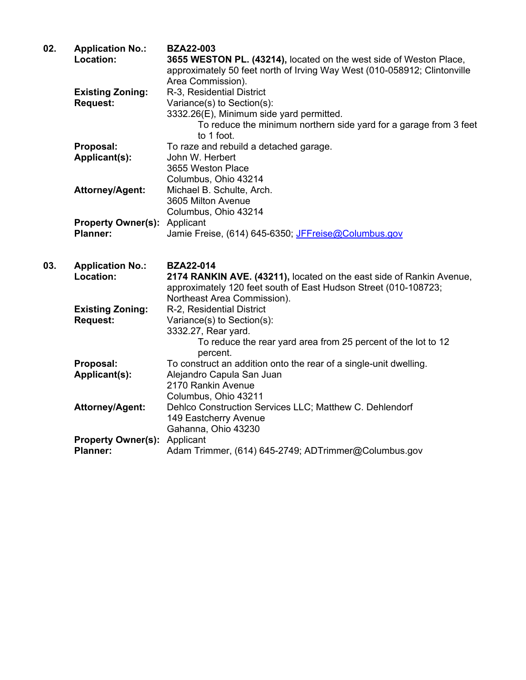| 02. | <b>Application No.:</b><br>Location:                | <b>BZA22-003</b><br>3655 WESTON PL. (43214), located on the west side of Weston Place,<br>approximately 50 feet north of Irving Way West (010-058912; Clintonville<br>Area Commission). |
|-----|-----------------------------------------------------|-----------------------------------------------------------------------------------------------------------------------------------------------------------------------------------------|
|     | <b>Existing Zoning:</b><br><b>Request:</b>          | R-3, Residential District<br>Variance(s) to Section(s):<br>3332.26(E), Minimum side yard permitted.<br>To reduce the minimum northern side yard for a garage from 3 feet<br>to 1 foot.  |
|     | Proposal:<br>Applicant(s):                          | To raze and rebuild a detached garage.<br>John W. Herbert<br>3655 Weston Place<br>Columbus, Ohio 43214                                                                                  |
|     | Attorney/Agent:                                     | Michael B. Schulte, Arch.<br>3605 Milton Avenue<br>Columbus, Ohio 43214                                                                                                                 |
|     | <b>Property Owner(s): Applicant</b><br>Planner:     | Jamie Freise, (614) 645-6350; JFFreise@Columbus.gov                                                                                                                                     |
|     |                                                     |                                                                                                                                                                                         |
| 03. | <b>Application No.:</b><br>Location:                | <b>BZA22-014</b><br>2174 RANKIN AVE. (43211), located on the east side of Rankin Avenue,<br>approximately 120 feet south of East Hudson Street (010-108723;                             |
|     | <b>Existing Zoning:</b><br><b>Request:</b>          | Northeast Area Commission).<br>R-2, Residential District<br>Variance(s) to Section(s):<br>3332.27, Rear yard.<br>To reduce the rear yard area from 25 percent of the lot to 12          |
|     | Proposal:<br>Applicant(s):                          | percent.<br>To construct an addition onto the rear of a single-unit dwelling.<br>Alejandro Capula San Juan<br>2170 Rankin Avenue                                                        |
|     | <b>Attorney/Agent:</b><br><b>Property Owner(s):</b> | Columbus, Ohio 43211<br>Dehlco Construction Services LLC; Matthew C. Dehlendorf<br>149 Eastcherry Avenue<br>Gahanna, Ohio 43230<br>Applicant                                            |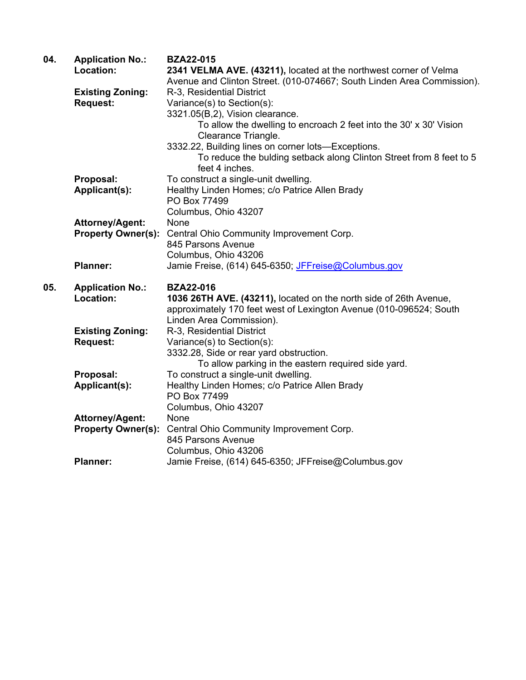| 04. | <b>Application No.:</b>   | <b>BZA22-015</b>                                                            |
|-----|---------------------------|-----------------------------------------------------------------------------|
|     | Location:                 | 2341 VELMA AVE. (43211), located at the northwest corner of Velma           |
|     |                           | Avenue and Clinton Street. (010-074667; South Linden Area Commission).      |
|     | <b>Existing Zoning:</b>   | R-3, Residential District                                                   |
|     | <b>Request:</b>           | Variance(s) to Section(s):                                                  |
|     |                           | 3321.05(B,2), Vision clearance.                                             |
|     |                           | To allow the dwelling to encroach 2 feet into the 30' x 30' Vision          |
|     |                           | Clearance Triangle.                                                         |
|     |                           | 3332.22, Building lines on corner lots-Exceptions.                          |
|     |                           | To reduce the bulding setback along Clinton Street from 8 feet to 5         |
|     |                           | feet 4 inches.                                                              |
|     | Proposal:                 | To construct a single-unit dwelling.                                        |
|     | Applicant(s):             | Healthy Linden Homes; c/o Patrice Allen Brady                               |
|     |                           | PO Box 77499                                                                |
|     |                           | Columbus, Ohio 43207                                                        |
|     | <b>Attorney/Agent:</b>    | None                                                                        |
|     | <b>Property Owner(s):</b> | Central Ohio Community Improvement Corp.                                    |
|     |                           | 845 Parsons Avenue                                                          |
|     |                           | Columbus, Ohio 43206                                                        |
|     | <b>Planner:</b>           | Jamie Freise, (614) 645-6350; JFFreise@Columbus.gov                         |
|     |                           |                                                                             |
| 05. | <b>Application No.:</b>   | <b>BZA22-016</b>                                                            |
|     |                           |                                                                             |
|     |                           |                                                                             |
|     | Location:                 | 1036 26TH AVE. (43211), located on the north side of 26th Avenue,           |
|     |                           | approximately 170 feet west of Lexington Avenue (010-096524; South          |
|     |                           | Linden Area Commission).                                                    |
|     | <b>Existing Zoning:</b>   | R-3, Residential District                                                   |
|     | <b>Request:</b>           | Variance(s) to Section(s):                                                  |
|     |                           | 3332.28, Side or rear yard obstruction.                                     |
|     |                           | To allow parking in the eastern required side yard.                         |
|     | Proposal:                 | To construct a single-unit dwelling.                                        |
|     | Applicant(s):             | Healthy Linden Homes; c/o Patrice Allen Brady                               |
|     |                           | PO Box 77499                                                                |
|     |                           | Columbus, Ohio 43207                                                        |
|     | <b>Attorney/Agent:</b>    | None                                                                        |
|     | <b>Property Owner(s):</b> | Central Ohio Community Improvement Corp.                                    |
|     |                           | 845 Parsons Avenue                                                          |
|     | <b>Planner:</b>           | Columbus, Ohio 43206<br>Jamie Freise, (614) 645-6350; JFFreise@Columbus.gov |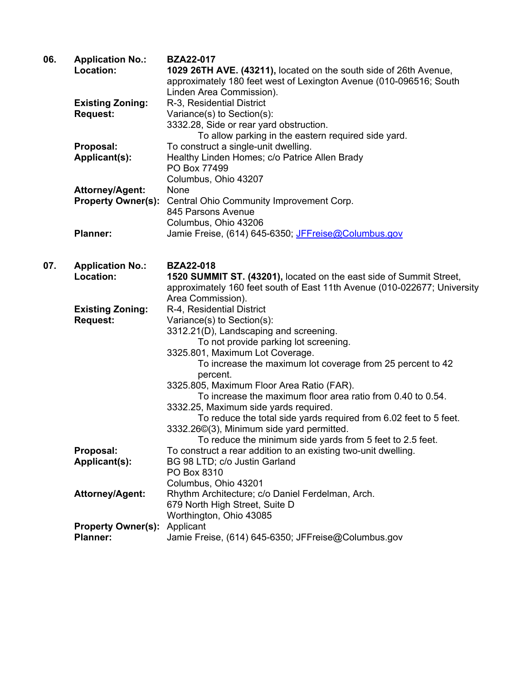| 06. | <b>Application No.:</b>             | <b>BZA22-017</b>                                                         |
|-----|-------------------------------------|--------------------------------------------------------------------------|
|     | Location:                           | 1029 26TH AVE. (43211), located on the south side of 26th Avenue,        |
|     |                                     | approximately 180 feet west of Lexington Avenue (010-096516; South       |
|     |                                     | Linden Area Commission).                                                 |
|     | <b>Existing Zoning:</b>             | R-3, Residential District                                                |
|     | <b>Request:</b>                     | Variance(s) to Section(s):                                               |
|     |                                     | 3332.28, Side or rear yard obstruction.                                  |
|     |                                     | To allow parking in the eastern required side yard.                      |
|     | Proposal:                           | To construct a single-unit dwelling.                                     |
|     | Applicant(s):                       | Healthy Linden Homes; c/o Patrice Allen Brady                            |
|     |                                     | PO Box 77499                                                             |
|     |                                     | Columbus, Ohio 43207                                                     |
|     | <b>Attorney/Agent:</b>              | None                                                                     |
|     | <b>Property Owner(s):</b>           | Central Ohio Community Improvement Corp.                                 |
|     |                                     | 845 Parsons Avenue                                                       |
|     |                                     | Columbus, Ohio 43206                                                     |
|     | <b>Planner:</b>                     | Jamie Freise, (614) 645-6350; JFFreise@Columbus.gov                      |
|     |                                     |                                                                          |
|     |                                     |                                                                          |
| 07. | <b>Application No.:</b>             | <b>BZA22-018</b>                                                         |
|     | Location:                           | 1520 SUMMIT ST. (43201), located on the east side of Summit Street,      |
|     |                                     | approximately 160 feet south of East 11th Avenue (010-022677; University |
|     |                                     | Area Commission).                                                        |
|     | <b>Existing Zoning:</b>             | R-4, Residential District                                                |
|     | <b>Request:</b>                     | Variance(s) to Section(s):                                               |
|     |                                     | 3312.21(D), Landscaping and screening.                                   |
|     |                                     | To not provide parking lot screening.                                    |
|     |                                     | 3325.801, Maximum Lot Coverage.                                          |
|     |                                     | To increase the maximum lot coverage from 25 percent to 42               |
|     |                                     | percent.                                                                 |
|     |                                     | 3325.805, Maximum Floor Area Ratio (FAR).                                |
|     |                                     | To increase the maximum floor area ratio from 0.40 to 0.54.              |
|     |                                     | 3332.25, Maximum side yards required.                                    |
|     |                                     | To reduce the total side yards required from 6.02 feet to 5 feet.        |
|     |                                     | 3332.26©(3), Minimum side yard permitted.                                |
|     |                                     | To reduce the minimum side yards from 5 feet to 2.5 feet.                |
|     | Proposal:                           | To construct a rear addition to an existing two-unit dwelling.           |
|     | Applicant(s):                       | BG 98 LTD; c/o Justin Garland                                            |
|     |                                     | PO Box 8310                                                              |
|     |                                     | Columbus, Ohio 43201                                                     |
|     | <b>Attorney/Agent:</b>              | Rhythm Architecture; c/o Daniel Ferdelman, Arch.                         |
|     |                                     | 679 North High Street, Suite D                                           |
|     |                                     | Worthington, Ohio 43085                                                  |
|     | <b>Property Owner(s): Applicant</b> |                                                                          |
|     | <b>Planner:</b>                     | Jamie Freise, (614) 645-6350; JFFreise@Columbus.gov                      |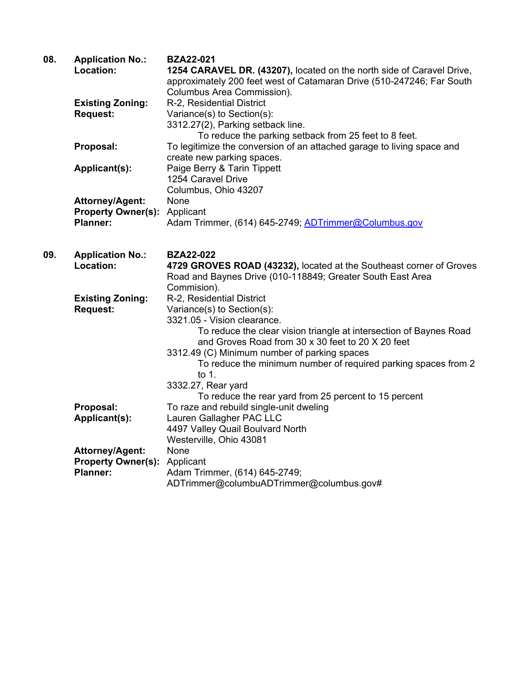| 08. | <b>Application No.:</b><br>Location: | <b>BZA22-021</b><br>1254 CARAVEL DR. (43207), located on the north side of Caravel Drive,<br>approximately 200 feet west of Catamaran Drive (510-247246; Far South<br>Columbus Area Commission). |
|-----|--------------------------------------|--------------------------------------------------------------------------------------------------------------------------------------------------------------------------------------------------|
|     | <b>Existing Zoning:</b>              | R-2, Residential District                                                                                                                                                                        |
|     | <b>Request:</b>                      | Variance(s) to Section(s):                                                                                                                                                                       |
|     |                                      | 3312.27(2), Parking setback line.                                                                                                                                                                |
|     |                                      | To reduce the parking setback from 25 feet to 8 feet.                                                                                                                                            |
|     | Proposal:                            | To legitimize the conversion of an attached garage to living space and                                                                                                                           |
|     |                                      | create new parking spaces.                                                                                                                                                                       |
|     | Applicant(s):                        | Paige Berry & Tarin Tippett                                                                                                                                                                      |
|     |                                      | 1254 Caravel Drive                                                                                                                                                                               |
|     |                                      | Columbus, Ohio 43207                                                                                                                                                                             |
|     | <b>Attorney/Agent:</b>               | None                                                                                                                                                                                             |
|     | <b>Property Owner(s):</b>            | Applicant                                                                                                                                                                                        |
|     | <b>Planner:</b>                      | Adam Trimmer, (614) 645-2749; ADTrimmer@Columbus.gov                                                                                                                                             |
| 09. | <b>Application No.:</b>              | <b>BZA22-022</b>                                                                                                                                                                                 |
|     | Location:                            | 4729 GROVES ROAD (43232), located at the Southeast corner of Groves                                                                                                                              |
|     |                                      | Road and Baynes Drive (010-118849; Greater South East Area                                                                                                                                       |
|     |                                      | Commision).                                                                                                                                                                                      |
|     | <b>Existing Zoning:</b>              | R-2, Residential District                                                                                                                                                                        |
|     | <b>DANUAAL</b>                       | $\langle$                                                                                                                                                                                        |

**Request:** Variance(s) to Section(s):

**Planner:** Adam Trimmer, (614) 645-2749;

 3321.05 - Vision clearance. To reduce the clear vision triangle at intersection of Baynes Road and Groves Road from 30 x 30 feet to 20 X 20 feet 3312.49 (C) Minimum number of parking spaces To reduce the minimum number of required parking spaces from 2 to 1. 3332.27, Rear yard To reduce the rear yard from 25 percent to 15 percent **Proposal:** To raze and rebuild single-unit dweling **Applicant(s):** Lauren Gallagher PAC LLC 4497 Valley Quail Boulvard North Westerville, Ohio 43081 **Attorney/Agent:** None **Property Owner(s):** Applicant

ADTrimmer@columbuADTrimmer@columbus.gov#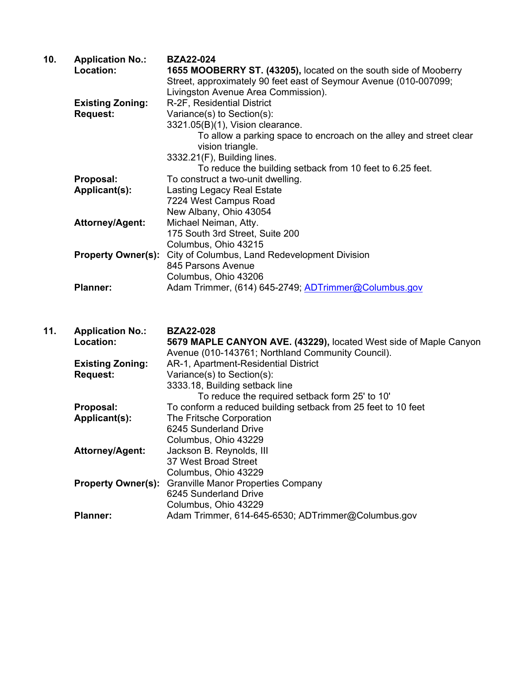| 10. | <b>Application No.:</b><br>Location:       | <b>BZA22-024</b><br>1655 MOOBERRY ST. (43205), located on the south side of Mooberry<br>Street, approximately 90 feet east of Seymour Avenue (010-007099;                                                                                                    |
|-----|--------------------------------------------|--------------------------------------------------------------------------------------------------------------------------------------------------------------------------------------------------------------------------------------------------------------|
|     | <b>Existing Zoning:</b><br><b>Request:</b> | Livingston Avenue Area Commission).<br>R-2F, Residential District<br>Variance(s) to Section(s):<br>3321.05(B)(1), Vision clearance.<br>To allow a parking space to encroach on the alley and street clear<br>vision triangle.<br>3332.21(F), Building lines. |
|     |                                            | To reduce the building setback from 10 feet to 6.25 feet.                                                                                                                                                                                                    |
|     | Proposal:<br>Applicant(s):                 | To construct a two-unit dwelling.<br><b>Lasting Legacy Real Estate</b><br>7224 West Campus Road<br>New Albany, Ohio 43054                                                                                                                                    |
|     | <b>Attorney/Agent:</b>                     | Michael Neiman, Atty.<br>175 South 3rd Street, Suite 200<br>Columbus, Ohio 43215                                                                                                                                                                             |
|     | <b>Property Owner(s):</b>                  | City of Columbus, Land Redevelopment Division<br>845 Parsons Avenue<br>Columbus, Ohio 43206                                                                                                                                                                  |
|     | <b>Planner:</b>                            | Adam Trimmer, (614) 645-2749; ADTrimmer@Columbus.gov                                                                                                                                                                                                         |
| 11. | <b>Application No.:</b>                    | <b>BZA22-028</b>                                                                                                                                                                                                                                             |
|     | Location:                                  | 5679 MAPLE CANYON AVE. (43229), located West side of Maple Canyon<br>Avenue (010-143761; Northland Community Council).                                                                                                                                       |
|     | <b>Existing Zoning:</b>                    | AR-1, Apartment-Residential District                                                                                                                                                                                                                         |
|     | <b>Request:</b>                            | Variance(s) to Section(s):<br>3333.18, Building setback line<br>To reduce the required setback form 25' to 10'                                                                                                                                               |
|     | Proposal:                                  | To conform a reduced building setback from 25 feet to 10 feet                                                                                                                                                                                                |
|     | Applicant(s):                              | The Fritsche Corporation<br>6245 Sunderland Drive                                                                                                                                                                                                            |
|     | <b>Attorney/Agent:</b>                     | Columbus, Ohio 43229<br>Jackson B. Reynolds, III<br>37 West Broad Street                                                                                                                                                                                     |
|     | <b>Property Owner(s):</b>                  | Columbus, Ohio 43229<br><b>Granville Manor Properties Company</b><br>6245 Sunderland Drive<br>Columbus, Ohio 43229                                                                                                                                           |

Planner: Adam Trimmer, 614-645-6530; ADTrimmer@Columbus.gov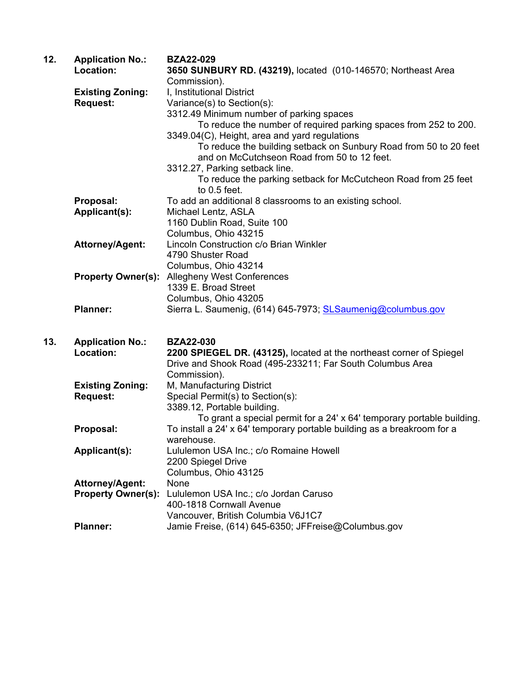| 12. | <b>Application No.:</b>   | <b>BZA22-029</b>                                                        |
|-----|---------------------------|-------------------------------------------------------------------------|
|     | Location:                 | 3650 SUNBURY RD. (43219), located (010-146570; Northeast Area           |
|     |                           | Commission).                                                            |
|     | <b>Existing Zoning:</b>   | I, Institutional District                                               |
|     | <b>Request:</b>           | Variance(s) to Section(s):                                              |
|     |                           | 3312.49 Minimum number of parking spaces                                |
|     |                           | To reduce the number of required parking spaces from 252 to 200.        |
|     |                           | 3349.04(C), Height, area and yard regulations                           |
|     |                           | To reduce the building setback on Sunbury Road from 50 to 20 feet       |
|     |                           | and on McCutchseon Road from 50 to 12 feet.                             |
|     |                           | 3312.27, Parking setback line.                                          |
|     |                           | To reduce the parking setback for McCutcheon Road from 25 feet          |
|     |                           | to $0.5$ feet.                                                          |
|     | Proposal:                 | To add an additional 8 classrooms to an existing school.                |
|     | Applicant(s):             | Michael Lentz, ASLA                                                     |
|     |                           | 1160 Dublin Road, Suite 100                                             |
|     |                           | Columbus, Ohio 43215                                                    |
|     | <b>Attorney/Agent:</b>    | Lincoln Construction c/o Brian Winkler                                  |
|     |                           | 4790 Shuster Road                                                       |
|     |                           | Columbus, Ohio 43214                                                    |
|     | <b>Property Owner(s):</b> | <b>Allegheny West Conferences</b>                                       |
|     |                           | 1339 E. Broad Street                                                    |
|     |                           | Columbus, Ohio 43205                                                    |
|     | <b>Planner:</b>           | Sierra L. Saumenig, (614) 645-7973; SLSaumenig@columbus.gov             |
|     |                           |                                                                         |
| 13. | <b>Application No.:</b>   | <b>BZA22-030</b>                                                        |
|     | Location:                 | 2200 SPIEGEL DR. (43125), located at the northeast corner of Spiegel    |
|     |                           | Drive and Shook Road (495-233211; Far South Columbus Area               |
|     |                           | Commission).                                                            |
|     | <b>Existing Zoning:</b>   | M, Manufacturing District                                               |
|     | <b>Request:</b>           | Special Permit(s) to Section(s):                                        |
|     |                           | 3389.12, Portable building.                                             |
|     |                           | To grant a special permit for a 24' x 64' temporary portable building.  |
|     | Proposal:                 | To install a 24' x 64' temporary portable building as a breakroom for a |
|     |                           | warehouse.                                                              |
|     | Applicant(s):             | Lululemon USA Inc.; c/o Romaine Howell                                  |
|     |                           | 2200 Spiegel Drive                                                      |
|     |                           | Columbus, Ohio 43125                                                    |
|     | <b>Attorney/Agent:</b>    | None                                                                    |
|     | <b>Property Owner(s):</b> | Lululemon USA Inc.; c/o Jordan Caruso                                   |
|     |                           | 400-1818 Cornwall Avenue                                                |
|     |                           | Vancouver, British Columbia V6J1C7                                      |
|     | <b>Planner:</b>           | Jamie Freise, (614) 645-6350; JFFreise@Columbus.gov                     |
|     |                           |                                                                         |